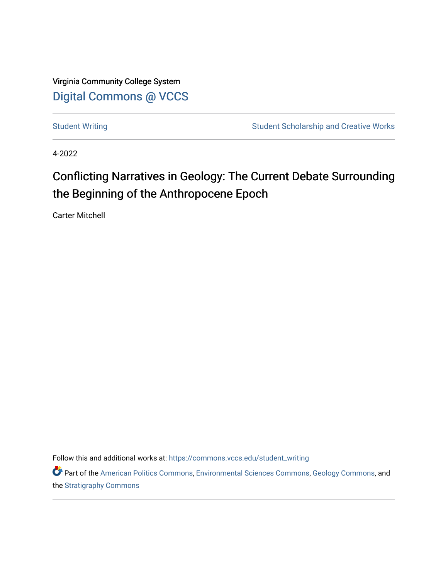Virginia Community College System [Digital Commons @ VCCS](https://commons.vccs.edu/)

[Student Writing](https://commons.vccs.edu/student_writing) Student Scholarship and Creative Works

4-2022

## Conflicting Narratives in Geology: The Current Debate Surrounding the Beginning of the Anthropocene Epoch

Carter Mitchell

Follow this and additional works at: [https://commons.vccs.edu/student\\_writing](https://commons.vccs.edu/student_writing?utm_source=commons.vccs.edu%2Fstudent_writing%2F52&utm_medium=PDF&utm_campaign=PDFCoverPages) 

Part of the [American Politics Commons,](http://network.bepress.com/hgg/discipline/387?utm_source=commons.vccs.edu%2Fstudent_writing%2F52&utm_medium=PDF&utm_campaign=PDFCoverPages) [Environmental Sciences Commons](http://network.bepress.com/hgg/discipline/167?utm_source=commons.vccs.edu%2Fstudent_writing%2F52&utm_medium=PDF&utm_campaign=PDFCoverPages), [Geology Commons](http://network.bepress.com/hgg/discipline/156?utm_source=commons.vccs.edu%2Fstudent_writing%2F52&utm_medium=PDF&utm_campaign=PDFCoverPages), and the [Stratigraphy Commons](http://network.bepress.com/hgg/discipline/1080?utm_source=commons.vccs.edu%2Fstudent_writing%2F52&utm_medium=PDF&utm_campaign=PDFCoverPages)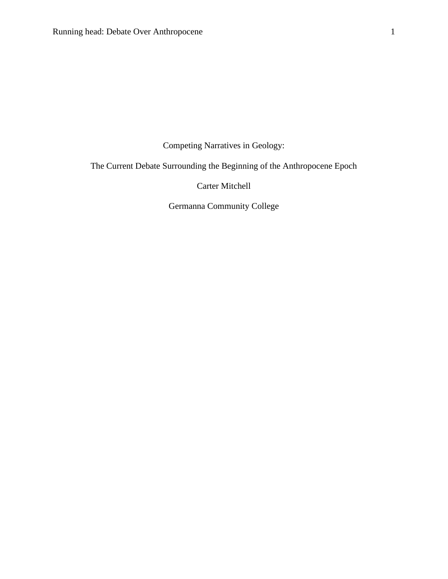Competing Narratives in Geology:

The Current Debate Surrounding the Beginning of the Anthropocene Epoch

Carter Mitchell

Germanna Community College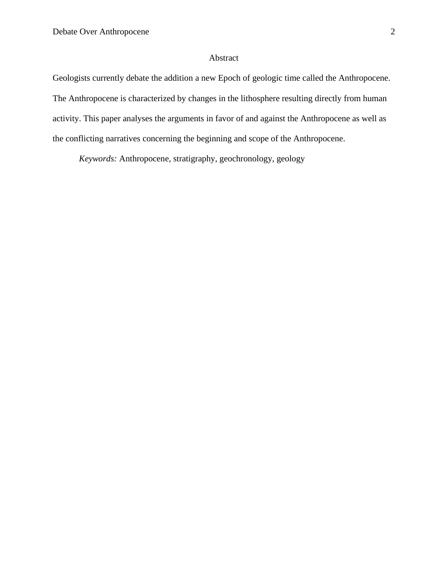## Abstract

Geologists currently debate the addition a new Epoch of geologic time called the Anthropocene. The Anthropocene is characterized by changes in the lithosphere resulting directly from human activity. This paper analyses the arguments in favor of and against the Anthropocene as well as the conflicting narratives concerning the beginning and scope of the Anthropocene.

*Keywords:* Anthropocene, stratigraphy, geochronology, geology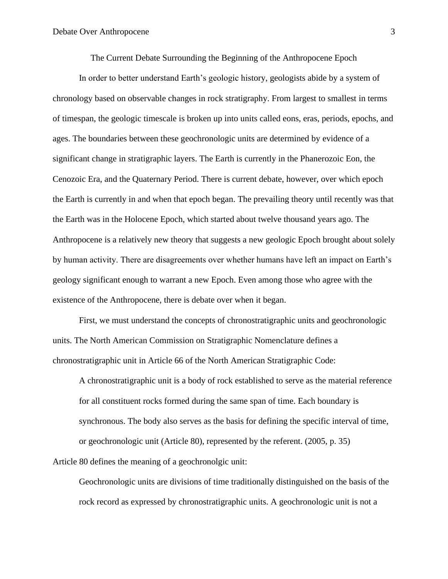The Current Debate Surrounding the Beginning of the Anthropocene Epoch

In order to better understand Earth's geologic history, geologists abide by a system of chronology based on observable changes in rock stratigraphy. From largest to smallest in terms of timespan, the geologic timescale is broken up into units called eons, eras, periods, epochs, and ages. The boundaries between these geochronologic units are determined by evidence of a significant change in stratigraphic layers. The Earth is currently in the Phanerozoic Eon, the Cenozoic Era, and the Quaternary Period. There is current debate, however, over which epoch the Earth is currently in and when that epoch began. The prevailing theory until recently was that the Earth was in the Holocene Epoch, which started about twelve thousand years ago. The Anthropocene is a relatively new theory that suggests a new geologic Epoch brought about solely by human activity. There are disagreements over whether humans have left an impact on Earth's geology significant enough to warrant a new Epoch. Even among those who agree with the existence of the Anthropocene, there is debate over when it began.

First, we must understand the concepts of chronostratigraphic units and geochronologic units. The North American Commission on Stratigraphic Nomenclature defines a chronostratigraphic unit in Article 66 of the North American Stratigraphic Code:

A chronostratigraphic unit is a body of rock established to serve as the material reference for all constituent rocks formed during the same span of time. Each boundary is synchronous. The body also serves as the basis for defining the specific interval of time, or geochronologic unit (Article 80), represented by the referent. (2005, p. 35)

Article 80 defines the meaning of a geochronolgic unit:

Geochronologic units are divisions of time traditionally distinguished on the basis of the rock record as expressed by chronostratigraphic units. A geochronologic unit is not a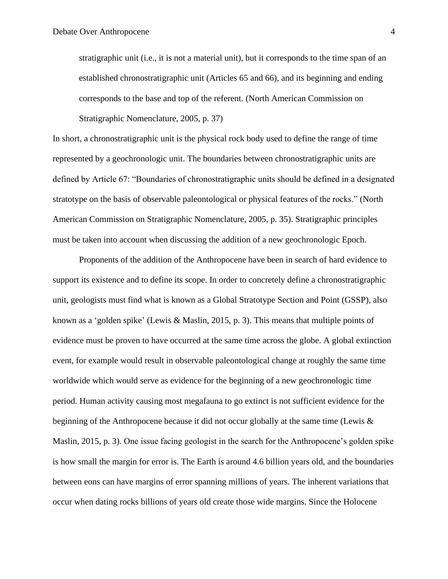stratigraphic unit (i.e., it is not a material unit), but it corresponds to the time span of an established chronostratigraphic unit (Articles 65 and 66), and its beginning and ending corresponds to the base and top of the referent. (North American Commission on Stratigraphic Nomenclature, 2005, p. 37)

In short, a chronostratigraphic unit is the physical rock body used to define the range of time represented by a geochronologic unit. The boundaries between chronostratigraphic units are defined by Article 67: "Boundaries of chronostratigraphic units should be defined in a designated stratotype on the basis of observable paleontological or physical features of the rocks." (North American Commission on Stratigraphic Nomenclature, 2005, p. 35). Stratigraphic principles must be taken into account when discussing the addition of a new geochronologic Epoch.

Proponents of the addition of the Anthropocene have been in search of hard evidence to support its existence and to define its scope. In order to concretely define a chronostratigraphic unit, geologists must find what is known as a Global Stratotype Section and Point (GSSP), also known as a 'golden spike' (Lewis & Maslin, 2015, p. 3). This means that multiple points of evidence must be proven to have occurred at the same time across the globe. A global extinction event, for example would result in observable paleontological change at roughly the same time worldwide which would serve as evidence for the beginning of a new geochronologic time period. Human activity causing most megafauna to go extinct is not sufficient evidence for the beginning of the Anthropocene because it did not occur globally at the same time (Lewis & Maslin, 2015, p. 3). One issue facing geologist in the search for the Anthropocene's golden spike is how small the margin for error is. The Earth is around 4.6 billion years old, and the boundaries between eons can have margins of error spanning millions of years. The inherent variations that occur when dating rocks billions of years old create those wide margins. Since the Holocene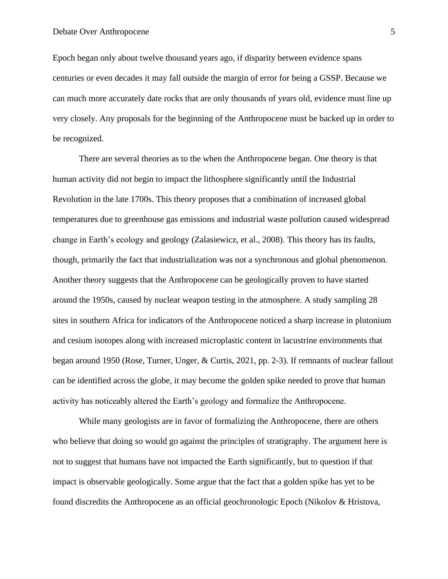Epoch began only about twelve thousand years ago, if disparity between evidence spans centuries or even decades it may fall outside the margin of error for being a GSSP. Because we can much more accurately date rocks that are only thousands of years old, evidence must line up very closely. Any proposals for the beginning of the Anthropocene must be backed up in order to be recognized.

There are several theories as to the when the Anthropocene began. One theory is that human activity did not begin to impact the lithosphere significantly until the Industrial Revolution in the late 1700s. This theory proposes that a combination of increased global temperatures due to greenhouse gas emissions and industrial waste pollution caused widespread change in Earth's ecology and geology (Zalasiewicz, et al., 2008). This theory has its faults, though, primarily the fact that industrialization was not a synchronous and global phenomenon. Another theory suggests that the Anthropocene can be geologically proven to have started around the 1950s, caused by nuclear weapon testing in the atmosphere. A study sampling 28 sites in southern Africa for indicators of the Anthropocene noticed a sharp increase in plutonium and cesium isotopes along with increased microplastic content in lacustrine environments that began around 1950 (Rose, Turner, Unger, & Curtis, 2021, pp. 2-3). If remnants of nuclear fallout can be identified across the globe, it may become the golden spike needed to prove that human activity has noticeably altered the Earth's geology and formalize the Anthropocene.

While many geologists are in favor of formalizing the Anthropocene, there are others who believe that doing so would go against the principles of stratigraphy. The argument here is not to suggest that humans have not impacted the Earth significantly, but to question if that impact is observable geologically. Some argue that the fact that a golden spike has yet to be found discredits the Anthropocene as an official geochronologic Epoch (Nikolov & Hristova,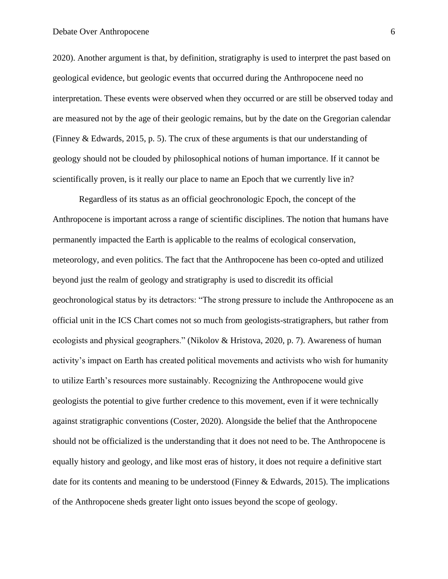2020). Another argument is that, by definition, stratigraphy is used to interpret the past based on geological evidence, but geologic events that occurred during the Anthropocene need no interpretation. These events were observed when they occurred or are still be observed today and are measured not by the age of their geologic remains, but by the date on the Gregorian calendar (Finney & Edwards, 2015, p. 5). The crux of these arguments is that our understanding of geology should not be clouded by philosophical notions of human importance. If it cannot be scientifically proven, is it really our place to name an Epoch that we currently live in?

Regardless of its status as an official geochronologic Epoch, the concept of the Anthropocene is important across a range of scientific disciplines. The notion that humans have permanently impacted the Earth is applicable to the realms of ecological conservation, meteorology, and even politics. The fact that the Anthropocene has been co-opted and utilized beyond just the realm of geology and stratigraphy is used to discredit its official geochronological status by its detractors: "The strong pressure to include the Anthropocene as an official unit in the ICS Chart comes not so much from geologists-stratigraphers, but rather from ecologists and physical geographers." (Nikolov & Hristova, 2020, p. 7). Awareness of human activity's impact on Earth has created political movements and activists who wish for humanity to utilize Earth's resources more sustainably. Recognizing the Anthropocene would give geologists the potential to give further credence to this movement, even if it were technically against stratigraphic conventions (Coster, 2020). Alongside the belief that the Anthropocene should not be officialized is the understanding that it does not need to be. The Anthropocene is equally history and geology, and like most eras of history, it does not require a definitive start date for its contents and meaning to be understood (Finney  $\&$  Edwards, 2015). The implications of the Anthropocene sheds greater light onto issues beyond the scope of geology.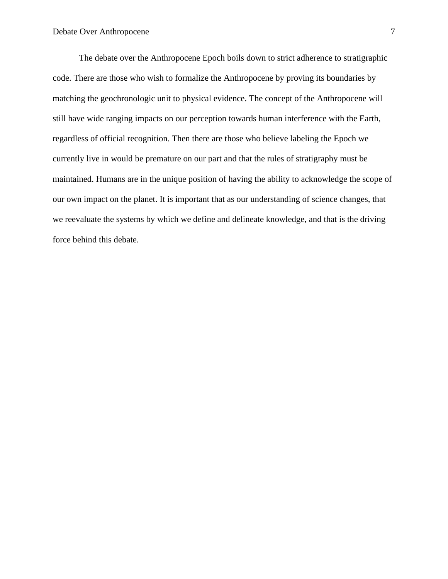The debate over the Anthropocene Epoch boils down to strict adherence to stratigraphic code. There are those who wish to formalize the Anthropocene by proving its boundaries by matching the geochronologic unit to physical evidence. The concept of the Anthropocene will still have wide ranging impacts on our perception towards human interference with the Earth, regardless of official recognition. Then there are those who believe labeling the Epoch we currently live in would be premature on our part and that the rules of stratigraphy must be maintained. Humans are in the unique position of having the ability to acknowledge the scope of our own impact on the planet. It is important that as our understanding of science changes, that we reevaluate the systems by which we define and delineate knowledge, and that is the driving force behind this debate.